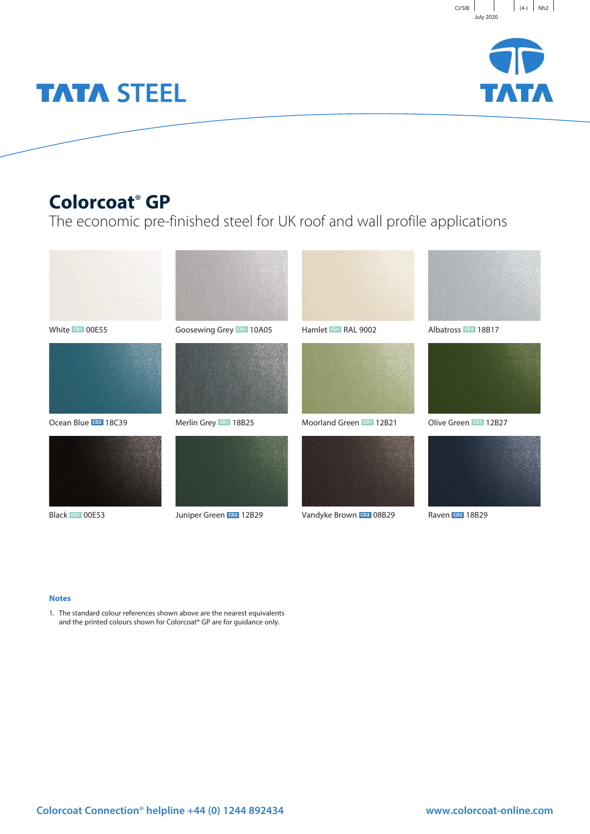



# **TATA STEEL**

## **Colorcoat**® **GP**

The economic pre-finished steel for UK roof and wall profile applications



#### **Notes**

1. The standard colour references shown above are the nearest equivalents and the printed colours shown for Colorcoat® GP are for guidance only.